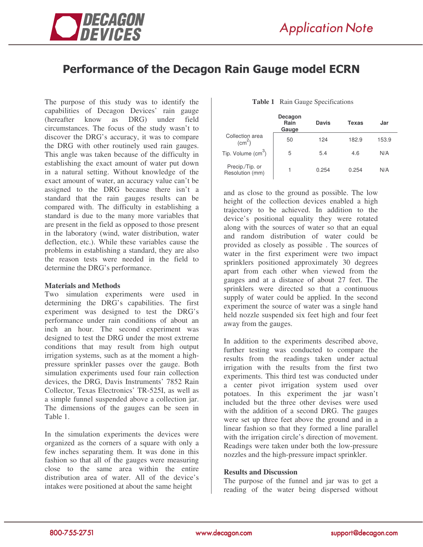

# Performance of the Decagon Rain Gauge model ECRN

The purpose of this study was to identify the capabilities of Decagon Devices' rain gauge (hereafter know as DRG) under field circumstances. The focus of the study wasn't to discover the DRG's accuracy, it was to compare the DRG with other routinely used rain gauges. This angle was taken because of the difficulty in establishing the exact amount of water put down in a natural setting. Without knowledge of the exact amount of water, an accuracy value can't be assigned to the DRG because there isn't a standard that the rain gauges results can be compared with. The difficulty in establishing a standard is due to the many more variables that are present in the field as opposed to those present in the laboratory (wind, water distribution, water deflection, etc.). While these variables cause the problems in establishing a standard, they are also the reason tests were needed in the field to determine the DRG's performance.

## **Materials and Methods**

Two simulation experiments were used in determining the DRG's capabilities. The first experiment was designed to test the DRG's performance under rain conditions of about an inch an hour. The second experiment was designed to test the DRG under the most extreme conditions that may result from high output irrigation systems, such as at the moment a highpressure sprinkler passes over the gauge. Both simulation experiments used four rain collection devices, the DRG, Davis Instruments' 7852 Rain Collector, Texas Electronics' TR-525I, as well as a simple funnel suspended above a collection jar. The dimensions of the gauges can be seen in Table 1.

In the simulation experiments the devices were organized as the corners of a square with only a few inches separating them. It was done in this fashion so that all of the gauges were measuring close to the same area within the entire distribution area of water. All of the device's intakes were positioned at about the same height

#### **Table 1** Rain Gauge Specifications

|                                    | Decagon<br>Rain<br>Gauge | <b>Davis</b> | Texas | Jar   |
|------------------------------------|--------------------------|--------------|-------|-------|
| Collection area<br>$\text{(cm}^2)$ | 50                       | 124          | 182.9 | 153.9 |
| Tip. Volume (cm <sup>3</sup> )     | 5                        | 5.4          | 4.6   | N/A   |
| Precip./Tip. or<br>Resolution (mm) |                          | 0.254        | 0.254 | N/A   |

and as close to the ground as possible. The low height of the collection devices enabled a high trajectory to be achieved. In addition to the device's positional equality they were rotated along with the sources of water so that an equal and random distribution of water could be provided as closely as possible . The sources of water in the first experiment were two impact sprinklers positioned approximately 30 degrees apart from each other when viewed from the gauges and at a distance of about 27 feet. The sprinklers were directed so that a continuous supply of water could be applied. In the second experiment the source of water was a single hand held nozzle suspended six feet high and four feet away from the gauges.

In addition to the experiments described above, further testing was conducted to compare the results from the readings taken under actual irrigation with the results from the first two experiments. This third test was conducted under a center pivot irrigation system used over potatoes. In this experiment the jar wasn't included but the three other devises were used with the addition of a second DRG. The gauges were set up three feet above the ground and in a linear fashion so that they formed a line parallel with the irrigation circle's direction of movement. Readings were taken under both the low-pressure nozzles and the high-pressure impact sprinkler.

## **Results and Discussion**

The purpose of the funnel and jar was to get a reading of the water being dispersed without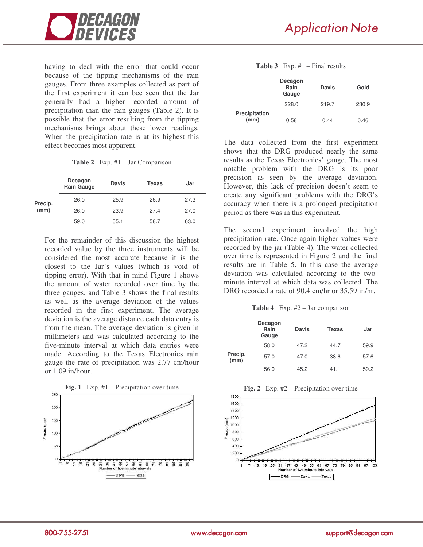



having to deal with the error that could occur because of the tipping mechanisms of the rain gauges. From three examples collected as part of the first experiment it can bee seen that the Jar generally had a higher recorded amount of precipitation than the rain gauges (Table 2). It is possible that the error resulting from the tipping mechanisms brings about these lower readings. When the precipitation rate is at its highest this effect becomes most apparent.

**Table 2** Exp. #1 – Jar Comparison

|                 | Decagon<br><b>Rain Gauge</b> | <b>Davis</b> | <b>Texas</b> | Jar  |
|-----------------|------------------------------|--------------|--------------|------|
|                 | 26.0                         | 25.9         | 26.9         | 27.3 |
| Precip.<br>(mm) | 26.0                         | 23.9         | 27.4         | 27.0 |
|                 | 59.0                         | 55.1         | 58.7         | 63.0 |

For the remainder of this discussion the highest recorded value by the three instruments will be considered the most accurate because it is the closest to the Jar's values (which is void of tipping error). With that in mind Figure 1 shows the amount of water recorded over time by the three gauges, and Table 3 shows the final results as well as the average deviation of the values recorded in the first experiment. The average deviation is the average distance each data entry is from the mean. The average deviation is given in millimeters and was calculated according to the five-minute interval at which data entries were made. According to the Texas Electronics rain gauge the rate of precipitation was 2.77 cm/hour or 1.09 in/hour.



#### **Table 3** Exp. #1 – Final results

|                       | Decagon<br>Rain<br>Gauge | Davis | Gold  |
|-----------------------|--------------------------|-------|-------|
|                       | 228.0                    | 219.7 | 230.9 |
| Precipitation<br>(mm) | 0.58                     | 0.44  | 0.46  |

The data collected from the first experiment shows that the DRG produced nearly the same results as the Texas Electronics' gauge. The most notable problem with the DRG is its poor precision as seen by the average deviation. However, this lack of precision doesn't seem to create any significant problems with the DRG's accuracy when there is a prolonged precipitation period as there was in this experiment.

The second experiment involved the high precipitation rate. Once again higher values were recorded by the jar (Table 4). The water collected over time is represented in Figure 2 and the final results are in Table 5. In this case the average deviation was calculated according to the twominute interval at which data was collected. The DRG recorded a rate of 90.4 cm/hr or 35.59 in/hr.

**Table 4** Exp. #2 – Jar comparison

|                 | Decagon<br>Rain<br>Gauge | <b>Davis</b> | Texas | Jar  |
|-----------------|--------------------------|--------------|-------|------|
|                 | 58.0                     | 47.2         | 44.7  | 59.9 |
| Precip.<br>(mm) | 57.0                     | 47.0         | 38.6  | 57.6 |
|                 | 56.0                     | 45.2         | 41.1  | 59.2 |



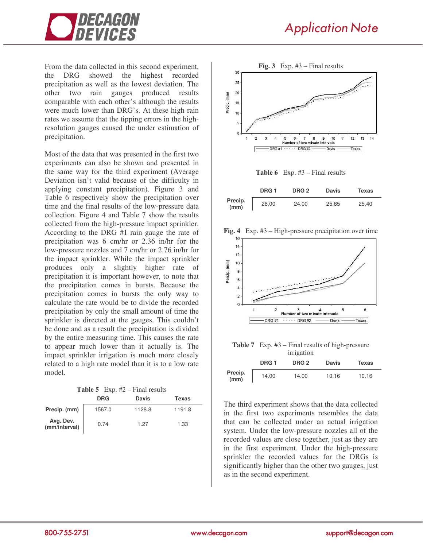

From the data collected in this second experiment, the DRG showed the highest recorded precipitation as well as the lowest deviation. The other two rain gauges produced results comparable with each other's although the results were much lower than DRG's. At these high rain rates we assume that the tipping errors in the highresolution gauges caused the under estimation of precipitation.

Most of the data that was presented in the first two experiments can also be shown and presented in the same way for the third experiment (Average Deviation isn't valid because of the difficulty in applying constant precipitation). Figure 3 and Table 6 respectively show the precipitation over time and the final results of the low-pressure data collection. Figure 4 and Table 7 show the results collected from the high-pressure impact sprinkler. According to the DRG #1 rain gauge the rate of precipitation was 6 cm/hr or 2.36 in/hr for the low-pressure nozzles and 7 cm/hr or 2.76 in/hr for the impact sprinkler. While the impact sprinkler produces only a slightly higher rate of precipitation it is important however, to note that the precipitation comes in bursts. Because the precipitation comes in bursts the only way to calculate the rate would be to divide the recorded precipitation by only the small amount of time the sprinkler is directed at the gauges. This couldn't be done and as a result the precipitation is divided by the entire measuring time. This causes the rate to appear much lower than it actually is. The impact sprinkler irrigation is much more closely related to a high rate model than it is to a low rate model.

| <b>Table 5</b> Exp. $#2$ – Final results |  |  |  |  |
|------------------------------------------|--|--|--|--|
|------------------------------------------|--|--|--|--|

|                            | <b>DRG</b> | <b>Davis</b> | <b>Texas</b> |
|----------------------------|------------|--------------|--------------|
| Precip. (mm)               | 1567.0     | 1128.8       | 1191.8       |
| Avg. Dev.<br>(mm/interval) | 0.74       | 1.27         | 1.33         |



**Table 6** Exp. #3 – Final results

|                 | DRG <sub>1</sub> | DRG 2 | <b>Davis</b> | Texas |
|-----------------|------------------|-------|--------------|-------|
| Precip.<br>(mm) | 28.00            | 24.00 | 25.65        | 25.40 |





**Table 7** Exp. #3 – Final results of high-pressure irrigation

|                 | DRG <sub>1</sub> | $\sim$<br>DRG <sub>2</sub> | <b>Davis</b> | <b>Texas</b> |  |
|-----------------|------------------|----------------------------|--------------|--------------|--|
| Precip.<br>(mm) | 14.00            | 14.00                      | 10.16        | 10.16        |  |

The third experiment shows that the data collected in the first two experiments resembles the data that can be collected under an actual irrigation system. Under the low-pressure nozzles all of the recorded values are close together, just as they are in the first experiment. Under the high-pressure sprinkler the recorded values for the DRGs is significantly higher than the other two gauges, just as in the second experiment.